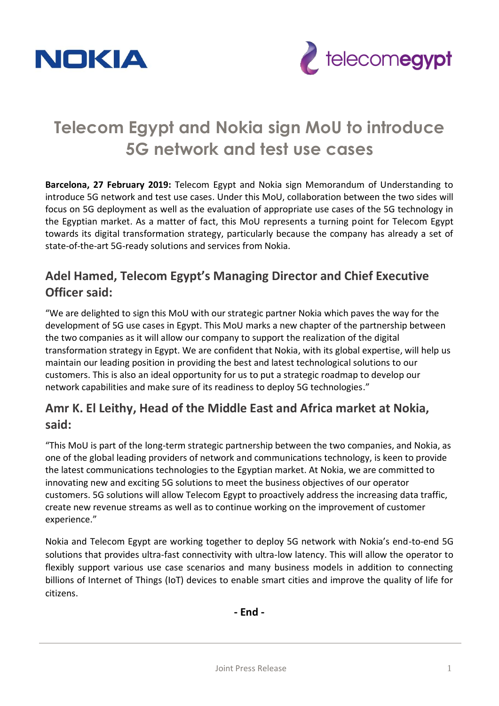



# **Telecom Egypt and Nokia sign MoU to introduce 5G network and test use cases**

**Barcelona, 27 February 2019:** Telecom Egypt and Nokia sign Memorandum of Understanding to introduce 5G network and test use cases. Under this MoU, collaboration between the two sides will focus on 5G deployment as well as the evaluation of appropriate use cases of the 5G technology in the Egyptian market. As a matter of fact, this MoU represents a turning point for Telecom Egypt towards its digital transformation strategy, particularly because the company has already a set of state-of-the-art 5G-ready solutions and services from Nokia.

### **Adel Hamed, Telecom Egypt's Managing Director and Chief Executive Officer said:**

"We are delighted to sign this MoU with our strategic partner Nokia which paves the way for the development of 5G use cases in Egypt. This MoU marks a new chapter of the partnership between the two companies as it will allow our company to support the realization of the digital transformation strategy in Egypt. We are confident that Nokia, with its global expertise, will help us maintain our leading position in providing the best and latest technological solutions to our customers. This is also an ideal opportunity for us to put a strategic roadmap to develop our network capabilities and make sure of its readiness to deploy 5G technologies."

## **Amr K. El Leithy, Head of the Middle East and Africa market at Nokia, said:**

"This MoU is part of the long-term strategic partnership between the two companies, and Nokia, as one of the global leading providers of network and communications technology, is keen to provide the latest communications technologies to the Egyptian market. At Nokia, we are committed to innovating new and exciting 5G solutions to meet the business objectives of our operator customers. 5G solutions will allow Telecom Egypt to proactively address the increasing data traffic, create new revenue streams as well as to continue working on the improvement of customer experience."

Nokia and Telecom Egypt are working together to deploy 5G network with Nokia's end-to-end 5G solutions that provides ultra-fast connectivity with ultra-low latency. This will allow the operator to flexibly support various use case scenarios and many business models in addition to connecting billions of Internet of Things (IoT) devices to enable smart cities and improve the quality of life for citizens.

**- End -**